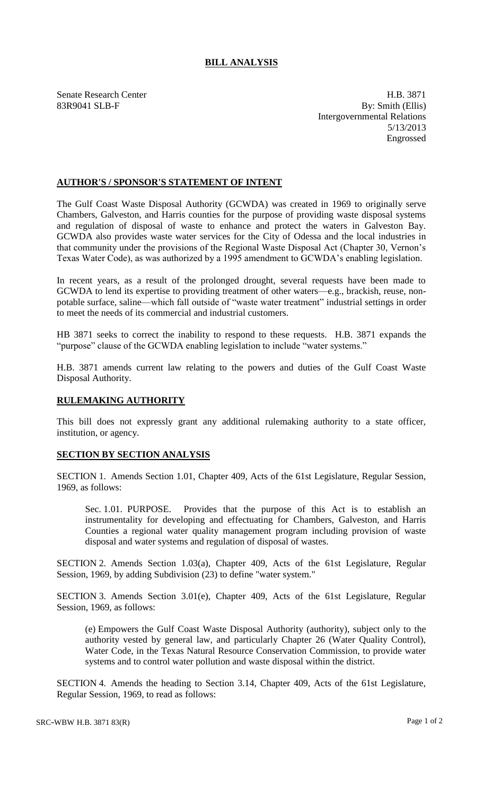## **BILL ANALYSIS**

Senate Research Center **H.B.** 3871 83R9041 SLB-F By: Smith (Ellis) Intergovernmental Relations 5/13/2013 Engrossed

## **AUTHOR'S / SPONSOR'S STATEMENT OF INTENT**

The Gulf Coast Waste Disposal Authority (GCWDA) was created in 1969 to originally serve Chambers, Galveston, and Harris counties for the purpose of providing waste disposal systems and regulation of disposal of waste to enhance and protect the waters in Galveston Bay. GCWDA also provides waste water services for the City of Odessa and the local industries in that community under the provisions of the Regional Waste Disposal Act (Chapter 30, Vernon's Texas Water Code), as was authorized by a 1995 amendment to GCWDA's enabling legislation.

In recent years, as a result of the prolonged drought, several requests have been made to GCWDA to lend its expertise to providing treatment of other waters—e.g., brackish, reuse, nonpotable surface, saline—which fall outside of "waste water treatment" industrial settings in order to meet the needs of its commercial and industrial customers.

HB 3871 seeks to correct the inability to respond to these requests. H.B. 3871 expands the "purpose" clause of the GCWDA enabling legislation to include "water systems."

H.B. 3871 amends current law relating to the powers and duties of the Gulf Coast Waste Disposal Authority.

## **RULEMAKING AUTHORITY**

This bill does not expressly grant any additional rulemaking authority to a state officer, institution, or agency.

## **SECTION BY SECTION ANALYSIS**

SECTION 1. Amends Section 1.01, Chapter 409, Acts of the 61st Legislature, Regular Session, 1969, as follows:

Sec. 1.01. PURPOSE. Provides that the purpose of this Act is to establish an instrumentality for developing and effectuating for Chambers, Galveston, and Harris Counties a regional water quality management program including provision of waste disposal and water systems and regulation of disposal of wastes.

SECTION 2. Amends Section 1.03(a), Chapter 409, Acts of the 61st Legislature, Regular Session, 1969, by adding Subdivision (23) to define "water system."

SECTION 3. Amends Section 3.01(e), Chapter 409, Acts of the 61st Legislature, Regular Session, 1969, as follows:

(e) Empowers the Gulf Coast Waste Disposal Authority (authority), subject only to the authority vested by general law, and particularly Chapter 26 (Water Quality Control), Water Code, in the Texas Natural Resource Conservation Commission, to provide water systems and to control water pollution and waste disposal within the district.

SECTION 4. Amends the heading to Section 3.14, Chapter 409, Acts of the 61st Legislature, Regular Session, 1969, to read as follows: